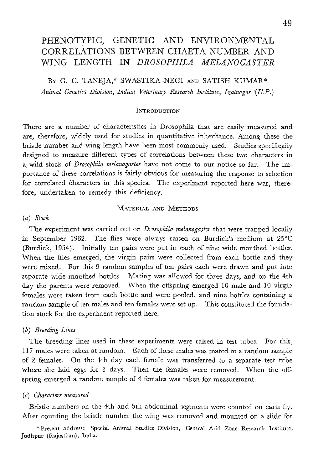# PHENOTYPIC, GENETIC AND ENVIRONMENTAL CORRELATIONS BETWEEN CHAETA NUMBER AND WING LENGTH IN *DROSOPHILA MELANOGASTER*

BY G. C. TANEJA,\* SWASTIKA NEGI AND SATISH KUMAR\* *Animal Genetics Division, Indian Veterinary Research Institute, Izatnagar (U.P.)* 

#### INTRODUCTION

There are a number of characteristics in Drosophila that are easily measured and are, therefore, widely used for studies in quantitative inheritance. Among these the bristle number and wing length have been most commonly used. Studies specifically designed to measure different types of correlations between these two characters in a wild stock of *Drosophila melanogaster* have not come to our notice so far. The importance of these correlations is fairly obvious for measuring the response to selection for correlated characters in this species. The experiment reported here was, therefore, undertaken to remedy this deficiency.

## MATERIAL AND METHODS

#### *(a) Stock*

The experiment was carried out on *Drosophila mdanogaster* that were trapped locally in September 1962. The flies were always raised on Burdick's medium at  $25^{\circ}$ C (Burdick, 1954). Initially ten pairs were put in each of nine wide mouthed bottles-. When the flies emerged, the virgin pairs were colIected from each bottle and they were mixed. For this 9 random samples of ten pairs each were drawn and put into separate wide mouthed bottles. Mating was allowed for three days, and on the 4th day the parents were removed. When the offspring emerged 10 male and 10 virgin females were taken from each bottle and were pooled, and nine bottles containing a random sample of ten males and ten females were set up. This constituted the foundation stock for the experiment reported here.

#### *(b) JBreeding Lines*

The breeding lines used in these experiments were raised in test tubes. For this, 117 males were taken at random. Each of these males was mated to a random sample of 2 females. On the 4th day each female was transferred to a separate test tube where she laid eggs for 3 days. Then the females were removed. When the offspring emerged a random sample of 4 females was taken for measurement.

## *(o) Gharacters measured*

Bristle numbers on the 4th and 5th abdominal segments were counted on each fly. After counting the bristle number the wing was removed and mounted on a slide for

\*Present address: Special Animal Studies Division, Central Arid Zone Research Institute. Jodhpur (Rajasthan), India.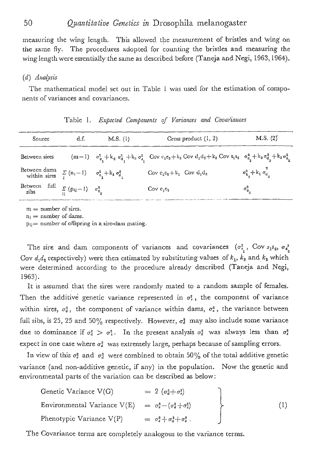measuring the wing length. This allowed the measurement of bristles and wing on the same fly. The procedures adopted for counting the bristles and measuring the wing length were essentially the same as described before (Taneja and Negi, 1963, 1964).

## *(d) A,~alysis*

The mathematical model set out in Table 1 was used for the estimation of components of variances and covariances.

| Source                                                                | d.f. | $M.S.$ (1) | Cross product $(1, 2)$                                                                                                                                                           | M.S. (2)                                            |
|-----------------------------------------------------------------------|------|------------|----------------------------------------------------------------------------------------------------------------------------------------------------------------------------------|-----------------------------------------------------|
| Between sires                                                         |      |            | $(m-1)$ $\sigma_{e_1}^2 + k_2 \sigma_{d_1}^2 + k_3 \sigma_{s_1}^2$ Cov $c_1c_2 + k_2$ Cov $d_1d_2 + k_3$ Cov $s_1s_2$ $\sigma_{e_2}^2 + k_2 \sigma_{d_2}^2 + k_3 \sigma_{s_3}^2$ |                                                     |
| Between dams $\sum_i (n_i - 1)$ $\sigma_{e_i}^2 + k_1 \sigma_{e_i}^2$ |      |            | $Cov c_1c_2 + k_1$ $Cov d_1d_2$                                                                                                                                                  | $\sigma_{a_{n}}^{3}$ + $k_{1}$ $\sigma_{d_{n}}^{3}$ |
| Between full $\sum_{ii} (p_{ij} - 1) = \sigma_{e_i}^2$                |      |            | Cov $e_1e_2$                                                                                                                                                                     | $\sigma_{\rm e_o}^*$                                |

|  |  |  |  |  |  | Table 1. Expected Components of Variances and Covariances |  |
|--|--|--|--|--|--|-----------------------------------------------------------|--|
|--|--|--|--|--|--|-----------------------------------------------------------|--|

 $m =$  number of sires.

 $n_i$  = number of dams.

 $p_{ij}$  = number of offspring in a sire-dam mating.

The sire and dam components of variances and covariances  $(\sigma_{s_1}^3, \text{Cov } s_1 s_2, \sigma_{s_2}^3)$ Cov  $d_1d_2$  respectively) were then estimated by substituting values of  $k_1$ ,  $k_2$  and  $k_3$  which were determined according to the procedure already described (Taneja and Negi, 1963).

It is assumed that the sires were randomly mated to a random sample of females. Then the additive genetic variance represented in  $\sigma_s^2$ , the component of variance within sires,  $\sigma_d^2$ , the component of variance within dams,  $\sigma_u^2$ , the variance between full sibs, is 25, 25 and 50% respectively. However,  $\sigma_a^2$  may also include some variance due to dominance if  $\sigma_a^2 > \sigma_s^2$ . In the present analysis  $\sigma_a^2$  was always less than  $\sigma_s^2$ expect in one case where  $\sigma_a^2$  was extremely large, perhaps because of sampling errors.

In view of this  $\sigma_s^2$  and  $\sigma_d^2$  were combined to obtain 50% of the total additive genetic variance (and non-additive genetic, if any) in the population. Now the genetic and environmental parts of the variation can be described as below:

| Genetic Variance V(G)                                                  | $= 2 (\sigma_a^3 + \sigma_s^2)$            |                  |
|------------------------------------------------------------------------|--------------------------------------------|------------------|
| Environmental Variance V(E) = $\sigma_e^2 - (\sigma_d^2 + \sigma_s^2)$ |                                            | $\left(1\right)$ |
| Phenotypic Variance $V(P)$                                             | $= \sigma_s^2 + \sigma_d^2 + \sigma_s^2$ . |                  |

The Covariance terms are completely analogous to the variance terms.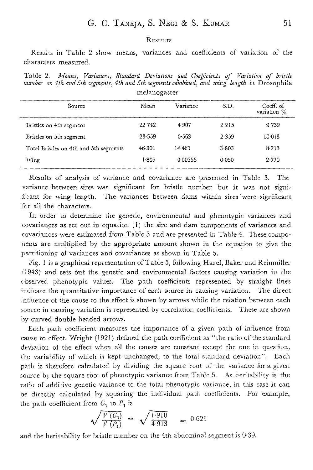#### **RESULTS**

Results in Table 2 show means, variances and coefficients of variation of the characters measured.

Table 2. *Means, Variances, Standard Deviations and Coefficients of Variation of bristle number on 4th and 5th segments, 4th and 5th segments combined, and wing length in Drosophila* melanogaster

| Source                                 | Mean       | Variance | S.D.      | Coeff. of<br>variation % |
|----------------------------------------|------------|----------|-----------|--------------------------|
| Bristles on 4th segment                | $22 - 742$ | 4.907    | 2.215     | 9.739                    |
| Bristles on 5th segment                | $23 - 559$ | 5.563    | 2.359     | 10013                    |
| Total Bristles on 4th and 5th segments | 46-301     | 14-461   | $3 - 803$ | 8.213                    |
| Wing                                   | 1.805      | 0.00255  | $0 - 050$ | 2.770                    |

Results of analysis of variance and covariance are presented in Tabte 3. The variance between sires was significant for bristle number but it was not significant for wing length. The variances between dams within sires were significant for all the characters.

In order to determine the genetic, enviromnentaI and phenotypic variances and covariances as set out in equation (1) the sire and dam-components of variances and covariances were estimated from Table 3 and are presented in Table 4. These components are multiplied by the appropriate amount shown in the equation to give the partitioning of variances and covariances as shown in Table 5.

Fig. 1 is a graphical representation of Table 5, following Hazel, Baker and Reinmiller (1943) and sets out the genetic and environmental factors causing variation in the observed phenotypic values. The path coefficients represented by straight lines indicate the quantitative importance of each source in causing variation. The direct influence of the cause to the effect is shown by arrows while the relation between each source in causing variation is represented by correlation coefficients. These are shown by curved double headed arrows.

Each path coefficient measures the importance of a given path of influence from cause to effect. Wright (1921) defined the path coefficient as "the ratio of the standard deviation of the effect when all the causes are constant except the one in question, the variability of which is kept unchanged, to the total standard deviation". Each path is therefore calculated by dividing the square root of the variance for a given source by the square root of phenotypic variance from Table 5. As heritability is the ratio of additive genetic variance to the total phenotypic variance, in this case it can be directly calculated by squaring the individual path coefficients. For example, the path coefficient from  $C_1$  to  $P_1$  is

$$
\sqrt{\frac{V(G_1)}{V(P_1)}} = \sqrt{\frac{1.910}{4.913}} = 0.623
$$

and the heritability for bristle number on the 4th abdominal segment is  $0.39$ .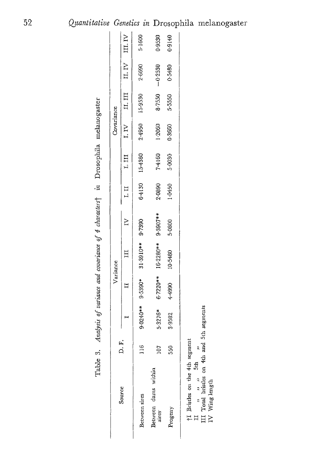*9 ~0 0 r~ 0 "4"- u~ M*  <u>ሟ</u>

*"-d* 

|                                       |                |           | Variance           |                  |                  |        |             | Covariance |         |                |        |
|---------------------------------------|----------------|-----------|--------------------|------------------|------------------|--------|-------------|------------|---------|----------------|--------|
| Source                                | F.<br>Q        |           |                    | $\Xi$            | $\tilde{\kappa}$ | 1.11   | $I$ , $III$ | I.IV       | ц. щ    | II. IV III. IV |        |
| Between sires                         | $\frac{6}{11}$ |           | $9.0240**$ 9.5390* | 31-3910** 9.7390 |                  | 6.4130 | 15-4380     | 2-4950     | 15-9530 | 2-6690         | 5.1600 |
| Between dams within<br>sires          | 107            | $5.3276*$ | $6 - 7220**$       | 16-2280**        | 9-3907**         | 2-0890 | 7.4160      | 1.2060     | 8.7550  | $-0.2530$      | 0.9530 |
| Progeny                               | S50            | 3.9582    | 4.4990             | 10-5480          | 5.0800           | 1.0450 | 5.0030      | 0.3660     | 5.5550  | 0.5480         | 0.9140 |
| اسمستحم الله المتلبس مترامين المنتسبة |                |           |                    |                  |                  |        |             |            |         |                |        |

m

tt~ o

u~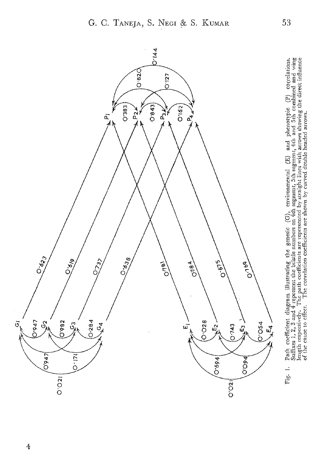

Path coefficient diagram illustrating the genetic  $(G)$ , environmental  $(E)$  and phenotypic  $(P)$  courdations.<br>Suffixes 1, 2, 3 and 4 represent the bristle numbers on 4th segment, 5th segment, 4th and 5th combined and wing<br>l

53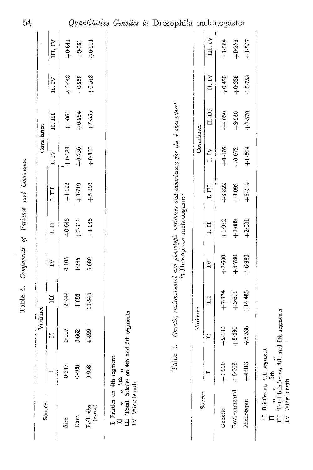| Source                                                                                                                                       |          | Variance     |                  |          |                                     |               |            | Covariance                                                                            |          |          |
|----------------------------------------------------------------------------------------------------------------------------------------------|----------|--------------|------------------|----------|-------------------------------------|---------------|------------|---------------------------------------------------------------------------------------|----------|----------|
|                                                                                                                                              |          | Ι            | III              | $\geq$   | I.II                                | 1.11          | I.IV       | II, III                                                                               | II.IV    | III. IV  |
| Sire                                                                                                                                         | 0.547    | 0407         | 2.244            | 0.105    | $+0.645$                            | $+1.192$      | $+0.188.$  | $+1.061$                                                                              | $+0.448$ | $+0.641$ |
| Dam                                                                                                                                          | 0.408    | 0.662        | 1.693            | 1.285    | $+0.311$                            | $+0.719$      | $+0.250$   | $+0.954$                                                                              | $-0.238$ | $+0.001$ |
| $\begin{array}{ll} \mbox{Full} & \mbox{sibs} \\ & \mbox{(error)} \end{array}$                                                                | 3.958    | 4.499        | 10-548           | 5.080    | $+1.045$                            | $+5.003$      | $+0.366$   | $+5.555$                                                                              | $+0.548$ | $+0.914$ |
| II $\cdots$ $\cdots$ 5th $\cdots$ and 5th segments III Total bristles on 4th and 5th segments<br>I Bristles on 4th segment<br>IV Wing length |          |              |                  |          |                                     |               |            |                                                                                       |          |          |
|                                                                                                                                              | Table    | $\vec{S}$    |                  |          |                                     |               |            | Genetic, environmental and phenolypic variances and covariances for the 4 characters* |          |          |
|                                                                                                                                              |          |              |                  |          | <i>in</i> : Drosophila melanogaster |               |            |                                                                                       |          |          |
| Source                                                                                                                                       |          | Variance     |                  |          |                                     |               | Covariance |                                                                                       |          |          |
|                                                                                                                                              | н        | $\mathbb{H}$ | $\overline{\Pi}$ | Ř        | 1.11                                | $\frac{1}{2}$ | I.IV       | П. III                                                                                | II.IV    | III.IV   |
| Genetic                                                                                                                                      | $+1.910$ | $+2.138$     | $+7.874$         | $+2.600$ | $+1.912$                            | $+3.822$      | $+0.876$   | $+4.030$                                                                              | $-420 +$ | $+3.284$ |
| Environmental                                                                                                                                | $+3.003$ | $+3.430$     | $+6.611$         | $+3.780$ | $+0.089$                            | $+3.092$      | $-0.072$   | $+3.540$                                                                              | $+0.338$ | $+0.273$ |
| Phenotypic                                                                                                                                   | $+4.913$ | $+5.568$     | $+14.485$        | $+6.380$ | $+2.001$                            | $+16.914$     | $+0.804$   | $+7.570$                                                                              | $+0.758$ | $+1.557$ |
|                                                                                                                                              |          |              |                  |          |                                     |               |            |                                                                                       |          |          |

31 3th 3th 3th 31 segments Total bristles on 4th and 5th segments

 $^{*4}$  Bristles on 4th segment<br>  $\begin{array}{ccc}\n\text{II} & \text{,} & \text{,} & \text{5th} \\
\text{III} & \text{Total bricks} & \text{with} & \text{,} \\
\text{IV} & \text{Wing length} & & \text{with} & \text{and}\n\end{array}$ 

Wing length

Quantitative Genetics in Drosophila melanogaster

54

Table 4. Components of Variance and Covariance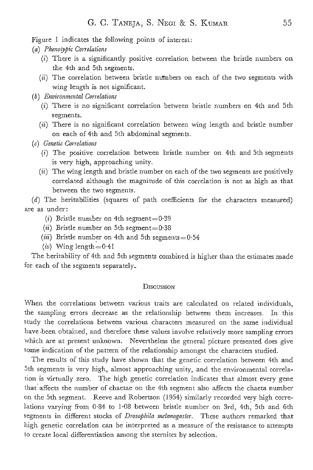Figure I indicates the following points of interest:

- *(a) Phenotypic Correlations* 
	- (i) There is a significantly positive correlation between the bristle numbers on the 4th and 5th segments.
	- *(ii)* The correlation between bristle numbers on each of the two segments with wing length .is not significant.
- $(b)$  *Environmental Correlations* 
	- (i) There is no significant correlation between bristle numbers on 4th and 5th segments.
	- *(ii)* There is no significant correlation between wing length and bristle number on each of 4th and 5th abdominal segments.
- *(e) Genetic Correlations* 
	- (i) The positive correIation between bristle number on 4th and 5th segments is very high, approaching unity.
	- *(ii)* The wing length and bristle number on each of the two segments are positively correlated although the magnitude of this correlation is not as high as that between the two segments.

 $(d)$  The heritabilities (squares of path coefficients for the characters measured) are as under:

- (i) Bristle number on 4th segment= $0.39$
- $(ii)$  Bristle number on 5th segment= $0.38$
- *(iii)* Bristle number on 4th and 5th segments= $0:54$
- $(iv)$  Wing length= $0.4$ I

The heritability of 4th and 5th segments combined is higher than the estimates made for each of the segments separately.

## **DISCUSSION**

When the correlations between various traits are calculated on related individuals, the sampling errors decrease as the relationship between them increases. In this study the correlations between various characters measured on the same individual have.been obtained, and therefore these values involve relatively more sampling errors which are at present unknown. Nevertheless the general picture presented does give some indication of the pattern of the relationship amongst the characters studied.

The results of this study have shown that the genetic correlation between 4th and 5th segments is very high, ahnost approaching unity, and. the enviromnental correlation is virtually zero. The high genetic correlation indicates that almost every gene that affects the number of chaetae on the 4th segment also affects the chaeta number on the 5th segment. Reeve and Robertson (1954) similarly recorded very high correlations varying from  $0.84$  to  $1.08$  between bristle number on 3rd, 4th, 5th and 6th segments in different stocks of *Drosophila melanogaster*. These authors remarked that high genetic correlation can be interpreted as a measure of the resistance to attempts to create local differentiation among the sternites by selection.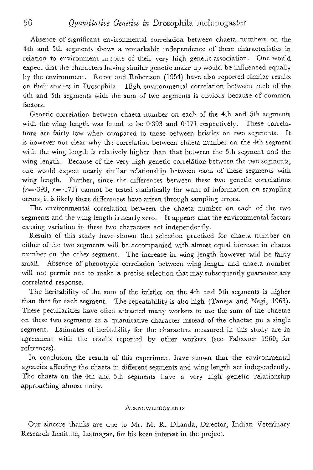Absence of significant environmental correlation between chaeta numbers on the 4th and 5th segments shows a remarkable independence of these characteristics in relation to environment in spite of their very high genetic association. One would expect that the characters having similar genetic make up would be influenced equally by the environment. Reeve and Robertson (1954) have also reported similar results on their studies in Drosophila. High environmental correlation between each of the 4th and 5th segments with the sum of two segments is obvious because of common factors.

Genetic correlation between chaeta number on each of the 4th and 5th segments with the wing length was found to be 0.393 and 0.171 respectively. These correlations are fairly low when compared to those between bristles on two segments. It is however not cleat- why the correlation between chaeta number on the 4th segment with the wing length is relatively higher than that between the 5th segment and the wing length. Because of the very high genetic correlation between the two segments, one would expect nearly similar relationship between each of these segments with wing length. Further, since the differences between these two genetic correlations  $(r=393, r=171)$  cannot be tested statistically for want of information on sampling errors, it is likely these differences have arisen through sampling errors.

The environmentaI correlation between the chaeta number on each of the two segments and the wing length is nearly zero. It appears that the environmental factors causing variation in these two characters act independently.

Results of this study have shown that selection practised for chaeta number on either of the two segments will be accompanied with almost equal increase in chaeta number on the other segment. The increase in wing length however will be fairly small. Absence of phenotypic correlation between wing length and chaeta number will not permit one to make a precise selection that may subsequently guarantee any correlated response.

The heritability of the sum of the bristles on the 4th and 5th segments is higher than that for each segment. The repeatability is also high (Taneja and Negi, 1963). These peculiarities have often, attracted many workers to use the sum of the chaetae on these two segments as a quantitative character instead of the chaetae on a single segment. Estimates of heritability for the characters measured in this study are in agreement with the results reported by other workers (see Falconer 1960, for references).

In conclusion the results of this experiment have shown that the environmental agencies affecting the chaeta in different segments and wing length act independently. The chaeta on the 4th and 5th segments have a very high genetic relationship approaching almost unity.

#### **ACKNOWLEDGMENTS**

Our sincere thanks are due to Mr. M. R. Dhanda, Director, Indian Veterinary Research Institute, Izatnagar, for his keen interest in the project.